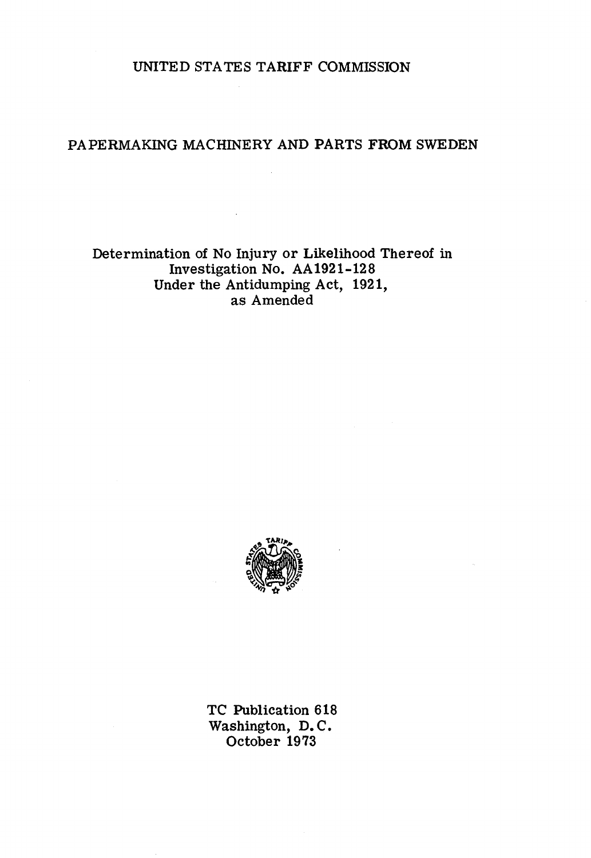UNITED STA TES TARIFF COMMISSION

# PAPERMAKING MACHINERY AND PARTS FROM SWEDEN

## Determination of No Injury or Likelihood Thereof in Investigation No. AA1921-128 Under the Antidumping Act, 1921, as Amended



TC Publication 618 Washington, D. C. October 1973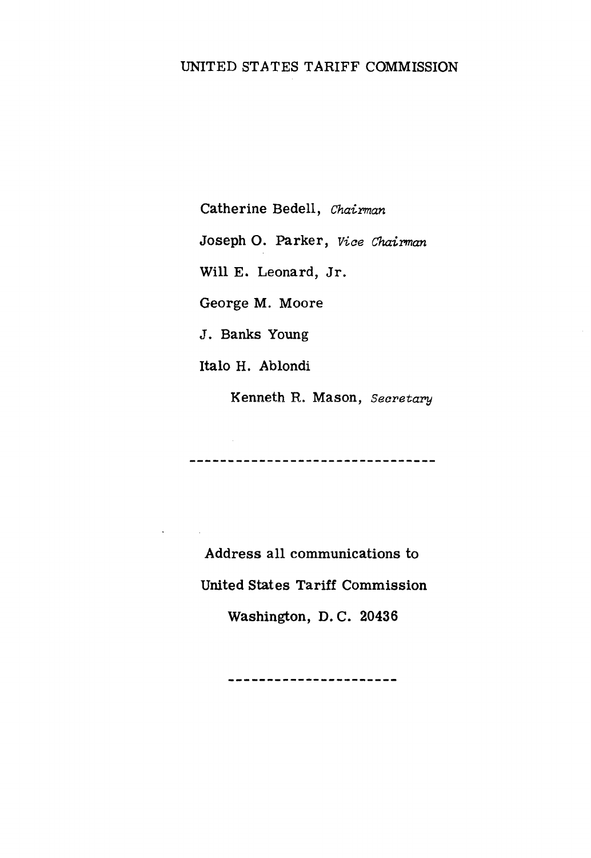### UNITED STATES TARIFF COMMISSION

Catherine Bedell, *Chairman*  Joseph 0. Parker, *Viae Chairman*  Will E. Leonard, Jr. George M. Moore J. Banks Young Italo H. Ablondi

Kenneth R. Mason, *Secretary* 

---------------------------------

Address all communications to United States Tariff Commission Washington, D. C. 20436

\_\_\_\_\_\_\_\_\_\_\_\_\_\_\_\_\_\_\_\_\_\_\_\_

 $\mathcal{O}(\mathcal{O}(\log n))$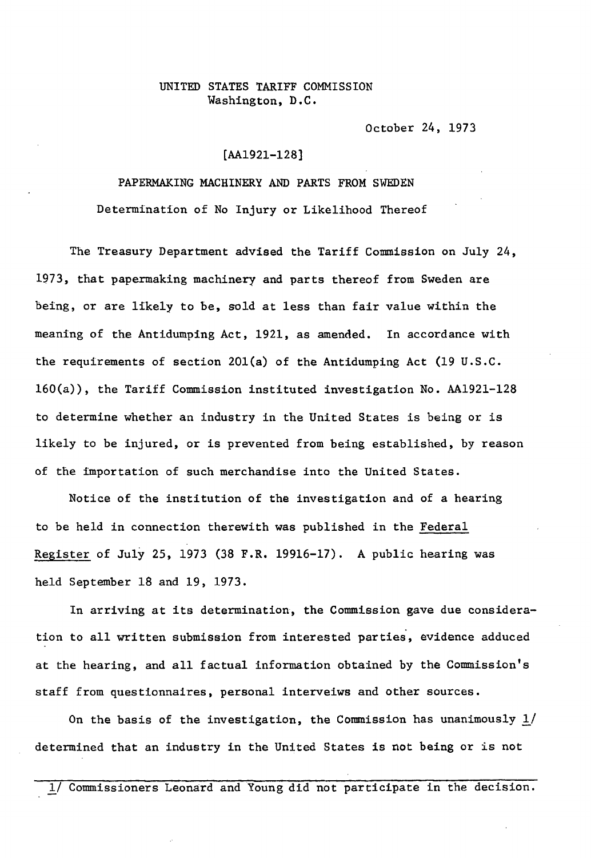#### UNITED STATES TARIFF COMMISSION Washington, D.C.

October 24, 1973

### [AA1921-128]

### PAPERMAKING MACHINERY AND PARTS FROM SWEDEN

Determination of No Injury or Likelihood Thereof

The Treasury Department advised the Tariff Commission on July 24, 1973, that papermaking machinery and parts thereof from Sweden are being, or are likely to be, sold at less than fair value within the meaning of the Antidumping Act, 1921, as amended. In accordance with the requirements of section 20l(a) of the Antidumping Act (19 U.S.C. 160(a)), the Tariff Commission instituted investigation No. AA1921-128 to determine whether an industry in the United States is being or is likely to be injured, or is prevented from being established, by reason of the importation of such merchandise into the United States.

Notice of the institution of the investigation and of a hearing to be held in connection therewith was published in the Federal Register of July 25, 1973 (38 F.R. 19916-17). A public hearing was held September 18 and 19, 1973.

In arriving *at* its determination, the Commission gave due consideration *to* all written submission from interested parties, evidence adduced at the hearing, and all factual information obtained by the Commission's staff from questionnaires, personal interveiws and other sources.

On the basis of the investigation, the Commission has unanimously  $1/$ determined that an industry in the United States is not being or is not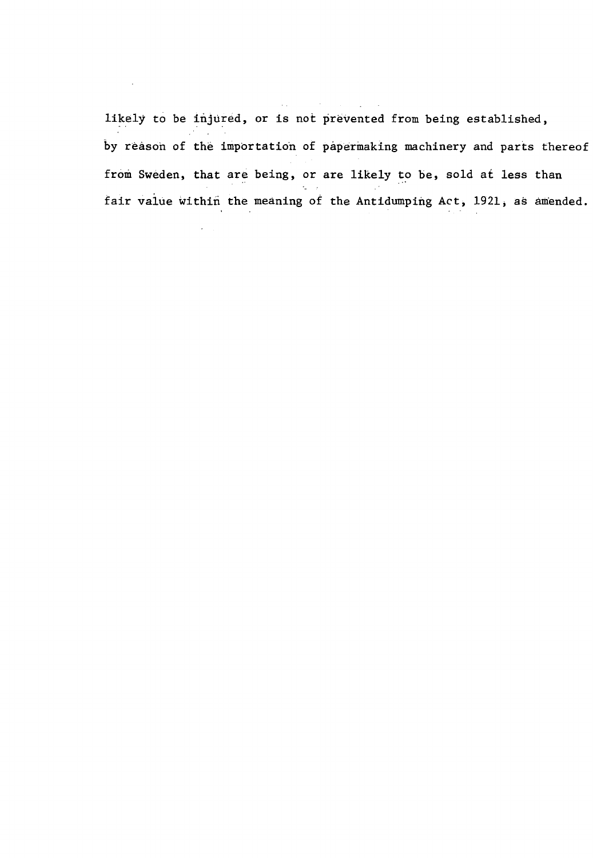likely to be injured, or is not prevented from being established, by reason of the importation of papermaking machinery and parts thereof from Sweden, that are being, or are likely to be, sold at less than fair value within the meaning of the Antidumping Act, 1921, as amended.

 $\sim$   $\sim$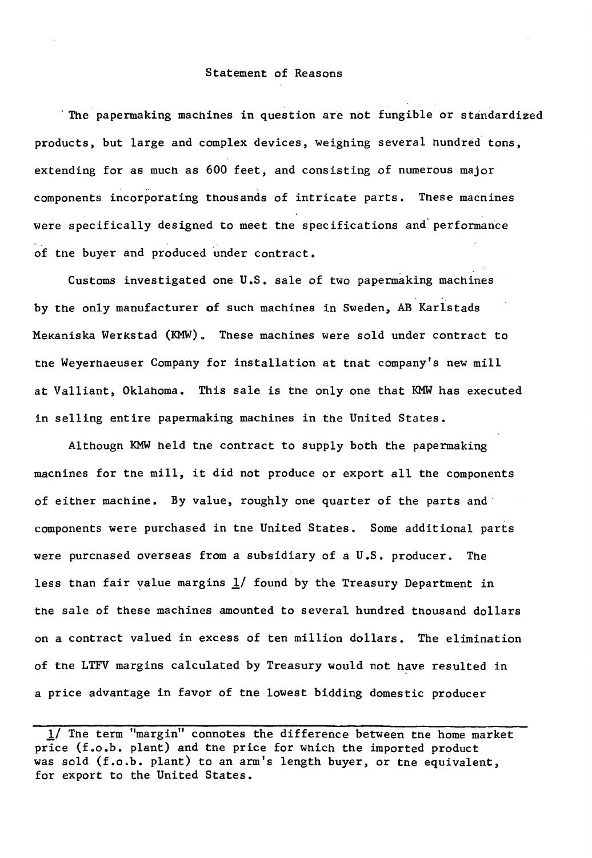#### Statement of Reasons

' The papermaking machines in question are not fungible or standardized products, but large and complex devices, weighing several hundred tons, extending for as much as 600 feet, and consisting of numerous major components incorporating thousands of intricate parts. These macnines were specifically designed to meet the specifications and' performance of the buyer and produced under contract.

Customs investigated one U.S. sale of two papermaking machines by the only manufacturer of such machines in Sweden, AB Karlstads Mekaniska Werkstad (KMW). These machines were sold under contract to tne Weyerhaeuser Company for installation at tnat company's new mill at Valliant, Oklahoma. This sale is the only one that KMW has executed in selling entire papermaking machines in the United States.

Althougn KMW held tne contract to supply both the papermaking macnines for the mill, it did not produce or export all the components of either machine. By value, roughly one quarter of the parts and· components were purchased in tne United States. Some additional parts were purcnased overseas from a subsidiary of a U.S. producer. The less than fair value margins  $1/$  found by the Treasury Department in the sale of these machines amounted to several hundred tnousand dollars on a contract valued in excess of ten million dollars. The elimination of tne LTFV margins calculated by Treasury would not have resulted in a price advantage in favor of tne lowest bidding domestic producer

JJ The term "margin" connotes the difference between tne home market price (f.o.b. plant) and the price for which the imported product was sold (f.o.b. plant) to an arm's length buyer, or tne equivalent, for export to the United States.